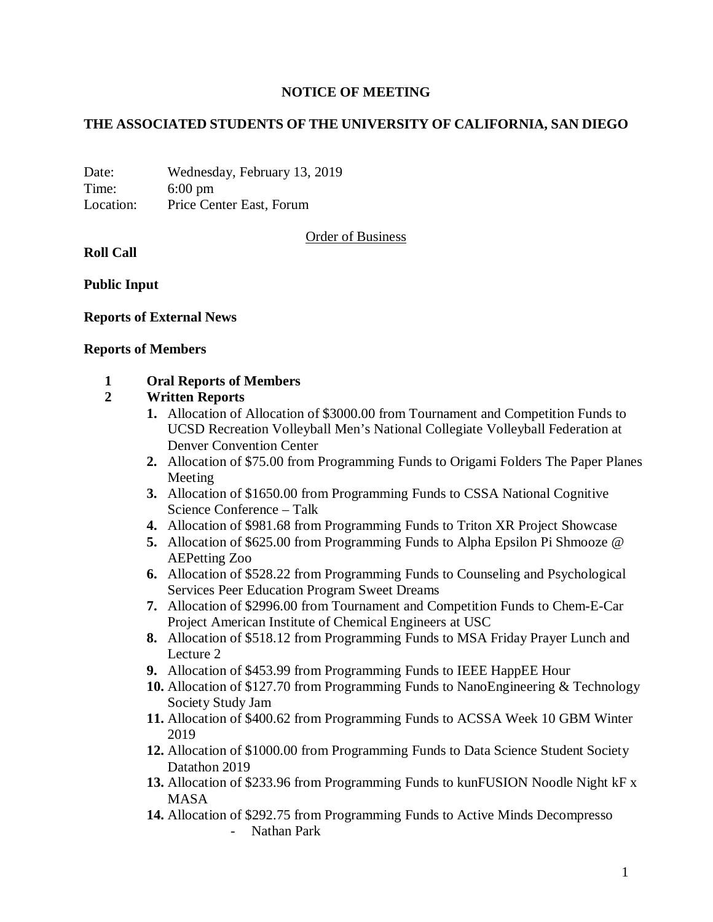## **NOTICE OF MEETING**

## **THE ASSOCIATED STUDENTS OF THE UNIVERSITY OF CALIFORNIA, SAN DIEGO**

Date: Wednesday, February 13, 2019 Time: 6:00 pm Location: Price Center East, Forum

Order of Business

**Roll Call**

**Public Input**

#### **Reports of External News**

#### **Reports of Members**

#### **1 Oral Reports of Members**

## **2 Written Reports**

- **1.** Allocation of Allocation of \$3000.00 from Tournament and Competition Funds to UCSD Recreation Volleyball Men's National Collegiate Volleyball Federation at Denver Convention Center
- **2.** Allocation of \$75.00 from Programming Funds to Origami Folders The Paper Planes Meeting
- **3.** Allocation of \$1650.00 from Programming Funds to CSSA National Cognitive Science Conference – Talk
- **4.** Allocation of \$981.68 from Programming Funds to Triton XR Project Showcase
- **5.** Allocation of \$625.00 from Programming Funds to Alpha Epsilon Pi Shmooze @ AEPetting Zoo
- **6.** Allocation of \$528.22 from Programming Funds to Counseling and Psychological Services Peer Education Program Sweet Dreams
- **7.** Allocation of \$2996.00 from Tournament and Competition Funds to Chem-E-Car Project American Institute of Chemical Engineers at USC
- **8.** Allocation of \$518.12 from Programming Funds to MSA Friday Prayer Lunch and Lecture 2
- **9.** Allocation of \$453.99 from Programming Funds to IEEE HappEE Hour
- **10.** Allocation of \$127.70 from Programming Funds to NanoEngineering & Technology Society Study Jam
- **11.** Allocation of \$400.62 from Programming Funds to ACSSA Week 10 GBM Winter 2019
- **12.** Allocation of \$1000.00 from Programming Funds to Data Science Student Society Datathon 2019
- **13.** Allocation of \$233.96 from Programming Funds to kunFUSION Noodle Night kF x MASA
- **14.** Allocation of \$292.75 from Programming Funds to Active Minds Decompresso - Nathan Park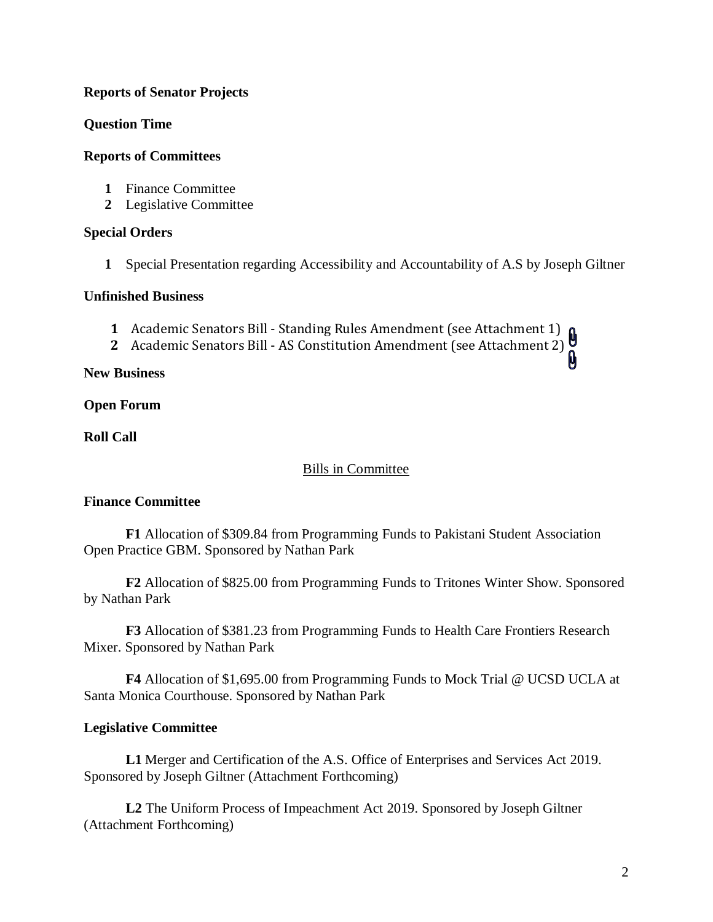## **Reports of Senator Projects**

**Question Time**

## **Reports of Committees**

- **1** Finance Committee
- **2** Legislative Committee

#### **Special Orders**

**1** Special Presentation regarding Accessibility and Accountability of A.S by Joseph Giltner

#### **Unfinished Business**

- **1** Academic Senators Bill Standing Rules Amendment (see Attachment 1)
- **2** Academic Senators Bill AS Constitution Amendment (see Attachment 2)

**New Business**

**Open Forum**

**Roll Call**

# Bills in Committee

# **Finance Committee**

**F1** Allocation of \$309.84 from Programming Funds to Pakistani Student Association Open Practice GBM. Sponsored by Nathan Park

**F2** Allocation of \$825.00 from Programming Funds to Tritones Winter Show. Sponsored by Nathan Park

**F3** Allocation of \$381.23 from Programming Funds to Health Care Frontiers Research Mixer. Sponsored by Nathan Park

**F4** Allocation of \$1,695.00 from Programming Funds to Mock Trial @ UCSD UCLA at Santa Monica Courthouse. Sponsored by Nathan Park

# **Legislative Committee**

**L1** Merger and Certification of the A.S. Office of Enterprises and Services Act 2019. Sponsored by Joseph Giltner (Attachment Forthcoming)

**L2** The Uniform Process of Impeachment Act 2019. Sponsored by Joseph Giltner (Attachment Forthcoming)